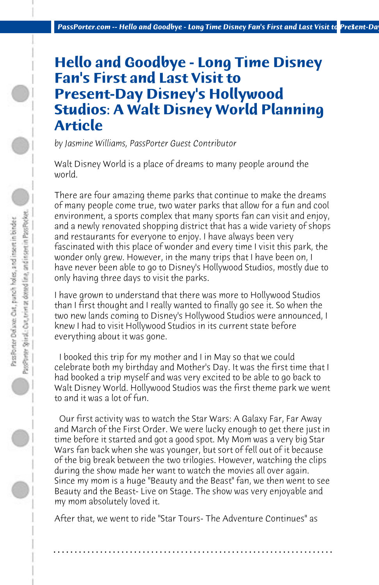## **Hello and Goodbye - Long Time Disney Fan's First and Last Visit to Present-Day Disney's Hollywood Studios: A Walt Disney World Planning Article**

*by Jasmine Williams, PassPorter Guest Contributor*

PassPrieter Spinal: Cort, trim at dotted line, and instert in Pass Pocket. Pass Porter Deluxe: Out, punch holes, and insert in binder

Walt Disney World is a place of dreams to many people around the world.

There are four amazing theme parks that continue to make the dreams of many people come true, two water parks that allow for a fun and cool environment, a sports complex that many sports fan can visit and enjoy, and a newly renovated shopping district that has a wide variety of shops and restaurants for everyone to enjoy. I have always been very fascinated with this place of wonder and every time I visit this park, the wonder only grew. However, in the many trips that I have been on, I have never been able to go to Disney's Hollywood Studios, mostly due to only having three days to visit the parks.

I have grown to understand that there was more to Hollywood Studios than I first thought and I really wanted to finally go see it. So when the two new lands coming to Disney's Hollywood Studios were announced, I knew I had to visit Hollywood Studios in its current state before everything about it was gone.

 I booked this trip for my mother and I in May so that we could celebrate both my birthday and Mother's Day. It was the first time that I had booked a trip myself and was very excited to be able to go back to Walt Disney World. Hollywood Studios was the first theme park we went to and it was a lot of fun.

 Our first activity was to watch the Star Wars: A Galaxy Far, Far Away and March of the First Order. We were lucky enough to get there just in time before it started and got a good spot. My Mom was a very big Star Wars fan back when she was younger, but sort of fell out of it because of the big break between the two trilogies. However, watching the clips during the show made her want to watch the movies all over again. Since my mom is a huge "Beauty and the Beast" fan, we then went to see Beauty and the Beast- Live on Stage. The show was very enjoyable and my mom absolutely loved it.

After that, we went to ride "Star Tours- The Adventure Continues" as

## **. . . . . . . . . . . . . . . . . . . . . . . . . . . . . . . . . . . . . . . . . . . . . . . . . . . . . . . . . . . . . . . . . .**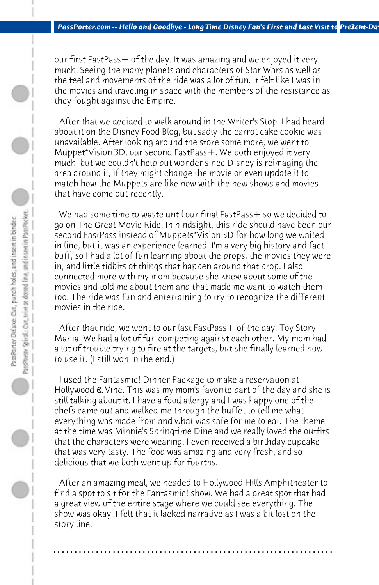our first FastPass+ of the day. It was amazing and we enjoyed it very much. Seeing the many planets and characters of Star Wars as well as the feel and movements of the ride was a lot of fun. It felt like I was in the movies and traveling in space with the members of the resistance as they fought against the Empire.

 After that we decided to walk around in the Writer's Stop. I had heard about it on the Disney Food Blog, but sadly the carrot cake cookie was unavailable. After looking around the store some more, we went to Muppet\*Vision 3D, our second FastPass+. We both enjoyed it very much, but we couldn't help but wonder since Disney is reimaging the area around it, if they might change the movie or even update it to match how the Muppets are like now with the new shows and movies that have come out recently.

We had some time to waste until our final FastPass + so we decided to go on The Great Movie Ride. In hindsight, this ride should have been our second FastPass instead of Muppets\*Vision 3D for how long we waited in line, but it was an experience learned. I'm a very big history and fact buff, so I had a lot of fun learning about the props, the movies they were in, and little tidbits of things that happen around that prop. I also connected more with my mom because she knew about some of the movies and told me about them and that made me want to watch them too. The ride was fun and entertaining to try to recognize the different movies in the ride.

After that ride, we went to our last FastPass + of the day, Toy Story Mania. We had a lot of fun competing against each other. My mom had a lot of trouble trying to fire at the targets, but she finally learned how to use it. (I still won in the end.)

 I used the Fantasmic! Dinner Package to make a reservation at Hollywood & Vine. This was my mom's favorite part of the day and she is still talking about it. I have a food allergy and I was happy one of the chefs came out and walked me through the buffet to tell me what everything was made from and what was safe for me to eat. The theme at the time was Minnie's Springtime Dine and we really loved the outfits that the characters were wearing. I even received a birthday cupcake that was very tasty. The food was amazing and very fresh, and so delicious that we both went up for fourths.

 After an amazing meal, we headed to Hollywood Hills Amphitheater to find a spot to sit for the Fantasmic! show. We had a great spot that had a great view of the entire stage where we could see everything. The show was okay, I felt that it lacked narrative as I was a bit lost on the story line.

**. . . . . . . . . . . . . . . . . . . . . . . . . . . . . . . . . . . . . . . . . . . . . . . . . . . . . . . . . . . . . . . . . .**